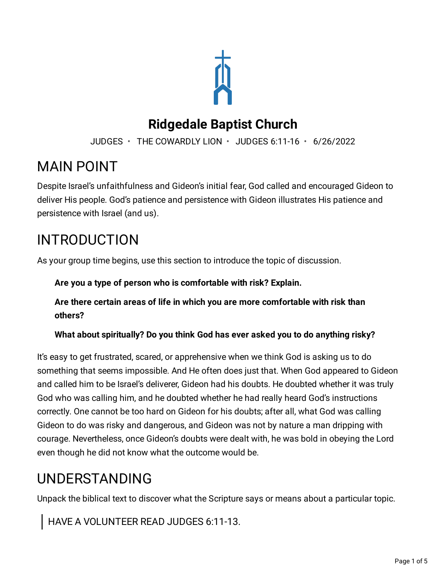

### **Ridgedale Baptist Church**

JUDGES • THE COWARDLY LION • JUDGES 6:11-16 • 6/26/2022

## MAIN POINT

Despite Israel's unfaithfulness and Gideon's initial fear, God called and encouraged Gideon to deliver His people. God's patience and persistence with Gideon illustrates His patience and persistence with Israel (and us).

# INTRODUCTION

As your group time begins, use this section to introduce the topic of discussion.

**Are you a type of person who is comfortable with risk? Explain.**

**Are there certain areas of life in which you are more comfortable with risk than others?**

**What about spiritually? Do you think God has ever asked you to do anything risky?**

It's easy to get frustrated, scared, or apprehensive when we think God is asking us to do something that seems impossible. And He often does just that. When God appeared to Gideon and called him to be Israel's deliverer, Gideon had his doubts. He doubted whether it was truly God who was calling him, and he doubted whether he had really heard God's instructions correctly. One cannot be too hard on Gideon for his doubts; after all, what God was calling Gideon to do was risky and dangerous, and Gideon was not by nature a man dripping with courage. Nevertheless, once Gideon's doubts were dealt with, he was bold in obeying the Lord even though he did not know what the outcome would be.

# UNDERSTANDING

Unpack the biblical text to discover what the Scripture says or means about a particular topic.

HAVE A VOLUNTEER READ JUDGES 6:11-13.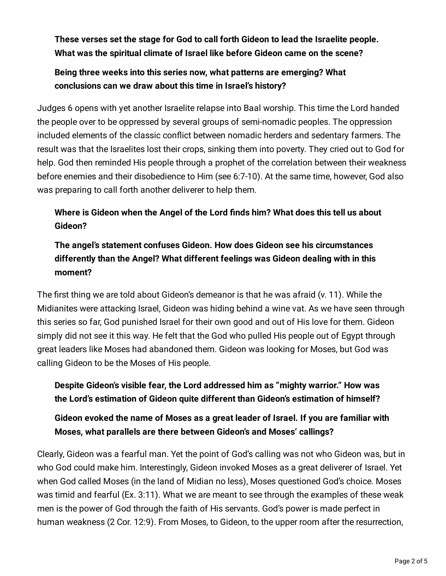**These verses set the stage for God to call forth Gideon to lead the Israelite people. What was the spiritual climate of Israel like before Gideon came on the scene?**

#### **Being three weeks into this series now, what patterns are emerging? What conclusions can we draw about this time in Israel's history?**

Judges 6 opens with yet another Israelite relapse into Baal worship. This time the Lord handed the people over to be oppressed by several groups of semi-nomadic peoples. The oppression included elements of the classic conflict between nomadic herders and sedentary farmers. The result was that the Israelites lost their crops, sinking them into poverty. They cried out to God for help. God then reminded His people through a prophet of the correlation between their weakness before enemies and their disobedience to Him (see 6:7-10). At the same time, however, God also was preparing to call forth another deliverer to help them.

### **Where is Gideon when the Angel of the Lord finds him? What does this tell us about Gideon?**

### **The angel's statement confuses Gideon. How does Gideon see his circumstances differently than the Angel? What different feelings was Gideon dealing with in this moment?**

The first thing we are told about Gideon's demeanor is that he was afraid (v. 11). While the Midianites were attacking Israel, Gideon was hiding behind a wine vat. As we have seen through this series so far, God punished Israel for their own good and out of His love for them. Gideon simply did not see it this way. He felt that the God who pulled His people out of Egypt through great leaders like Moses had abandoned them. Gideon was looking for Moses, but God was calling Gideon to be the Moses of His people.

#### **Despite Gideon's visible fear, the Lord addressed him as "mighty warrior." How was the Lord's estimation of Gideon quite different than Gideon's estimation of himself?**

#### **Gideon evoked the name of Moses as a great leader of Israel. If you are familiar with Moses, what parallels are there between Gideon's and Moses' callings?**

Clearly, Gideon was a fearful man. Yet the point of God's calling was not who Gideon was, but in who God could make him. Interestingly, Gideon invoked Moses as a great deliverer of Israel. Yet when God called Moses (in the land of Midian no less), Moses questioned God's choice. Moses was timid and fearful (Ex. 3:11). What we are meant to see through the examples of these weak men is the power of God through the faith of His servants. God's power is made perfect in human weakness (2 Cor. 12:9). From Moses, to Gideon, to the upper room after the resurrection,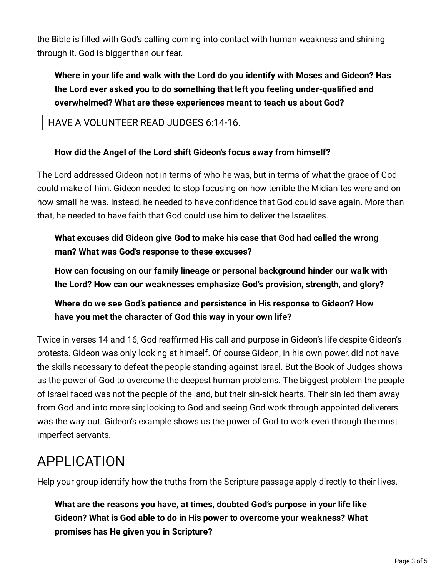the Bible is filled with God's calling coming into contact with human weakness and shining through it. God is bigger than our fear.

**Where in your life and walk with the Lord do you identify with Moses and Gideon? Has the Lord ever asked you to do something that left you feeling under-qualified and overwhelmed? What are these experiences meant to teach us about God?**

HAVE A VOLUNTEER READ JUDGES 6:14-16.

#### **How did the Angel of the Lord shift Gideon's focus away from himself?**

The Lord addressed Gideon not in terms of who he was, but in terms of what the grace of God could make of him. Gideon needed to stop focusing on how terrible the Midianites were and on how small he was. Instead, he needed to have confidence that God could save again. More than that, he needed to have faith that God could use him to deliver the Israelites.

**What excuses did Gideon give God to make his case that God had called the wrong man? What was God's response to these excuses?**

**How can focusing on our family lineage or personal background hinder our walk with the Lord? How can our weaknesses emphasize God's provision, strength, and glory?**

**Where do we see God's patience and persistence in His response to Gideon? How have you met the character of God this way in your own life?**

Twice in verses 14 and 16, God reaffirmed His call and purpose in Gideon's life despite Gideon's protests. Gideon was only looking at himself. Of course Gideon, in his own power, did not have the skills necessary to defeat the people standing against Israel. But the Book of Judges shows us the power of God to overcome the deepest human problems. The biggest problem the people of Israel faced was not the people of the land, but their sin-sick hearts. Their sin led them away from God and into more sin; looking to God and seeing God work through appointed deliverers was the way out. Gideon's example shows us the power of God to work even through the most imperfect servants.

# APPLICATION

Help your group identify how the truths from the Scripture passage apply directly to their lives.

**What are the reasons you have, at times, doubted God's purpose in your life like Gideon? What is God able to do in His power to overcome your weakness? What promises has He given you in Scripture?**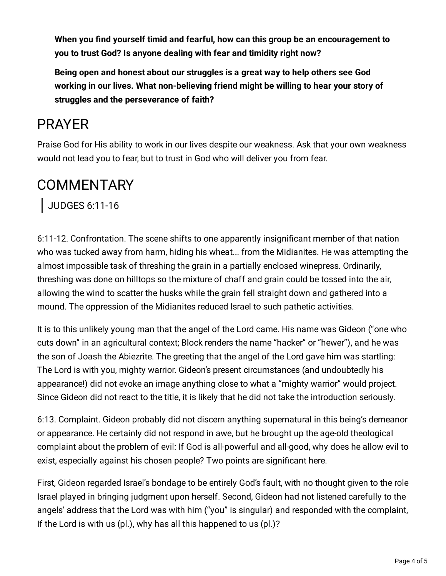**When you find yourself timid and fearful, how can this group be an encouragement to you to trust God? Is anyone dealing with fear and timidity right now?**

**Being open and honest about our struggles is a great way to help others see God working in our lives. What non-believing friend might be willing to hear your story of struggles and the perseverance of faith?**

## PRAYER

Praise God for His ability to work in our lives despite our weakness. Ask that your own weakness would not lead you to fear, but to trust in God who will deliver you from fear.

## **COMMENTARY**

JUDGES 6:11-16

6:11-12. Confrontation. The scene shifts to one apparently insignificant member of that nation who was tucked away from harm, hiding his wheat... from the Midianites. He was attempting the almost impossible task of threshing the grain in a partially enclosed winepress. Ordinarily, threshing was done on hilltops so the mixture of chaff and grain could be tossed into the air, allowing the wind to scatter the husks while the grain fell straight down and gathered into a mound. The oppression of the Midianites reduced Israel to such pathetic activities.

It is to this unlikely young man that the angel of the Lord came. His name was Gideon ("one who cuts down" in an agricultural context; Block renders the name "hacker" or "hewer"), and he was the son of Joash the Abiezrite. The greeting that the angel of the Lord gave him was startling: The Lord is with you, mighty warrior. Gideon's present circumstances (and undoubtedly his appearance!) did not evoke an image anything close to what a "mighty warrior" would project. Since Gideon did not react to the title, it is likely that he did not take the introduction seriously.

6:13. Complaint. Gideon probably did not discern anything supernatural in this being's demeanor or appearance. He certainly did not respond in awe, but he brought up the age-old theological complaint about the problem of evil: If God is all-powerful and all-good, why does he allow evil to exist, especially against his chosen people? Two points are significant here.

First, Gideon regarded Israel's bondage to be entirely God's fault, with no thought given to the role Israel played in bringing judgment upon herself. Second, Gideon had not listened carefully to the angels' address that the Lord was with him ("you" is singular) and responded with the complaint, If the Lord is with us (pl.), why has all this happened to us (pl.)?